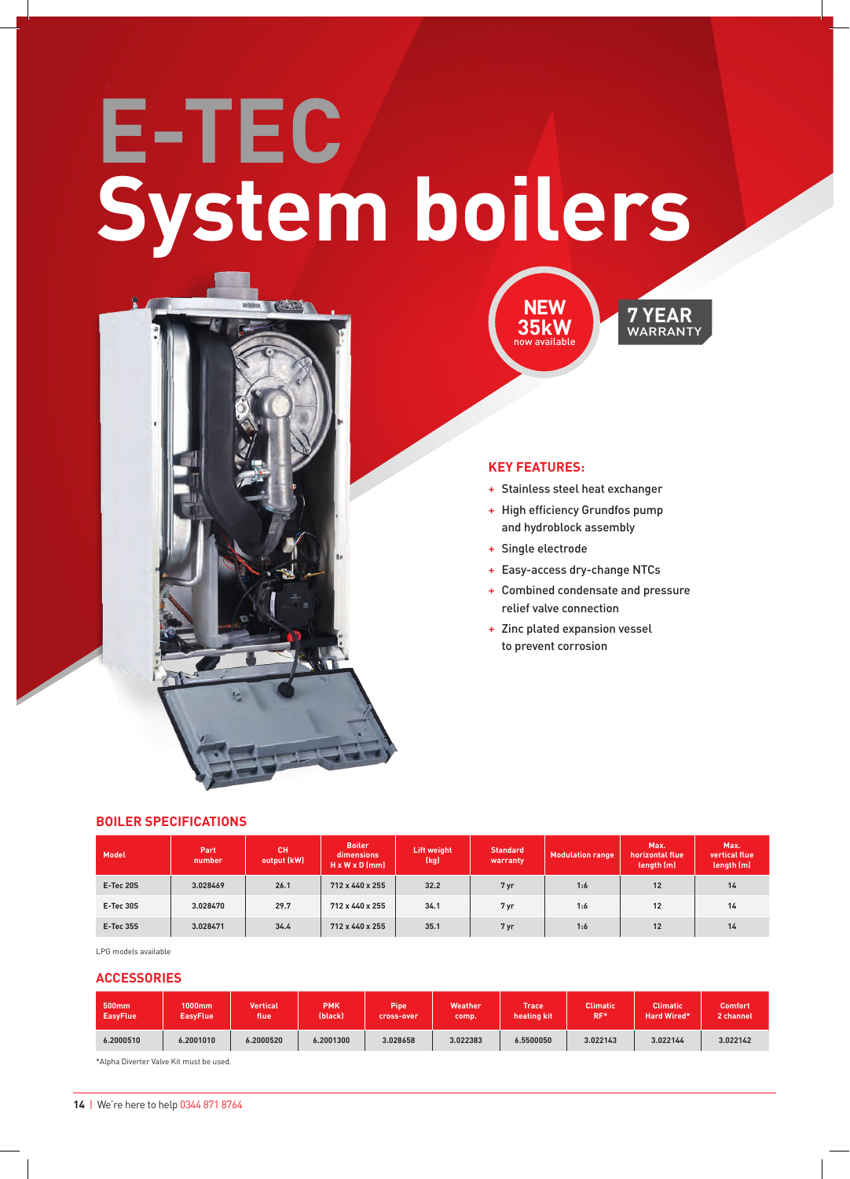# **E-TEC System boilers**



### **KEY FEATURES:**

**NEW**

**35kW** now available

+ Stainless steel heat exchanger

**7 YEAR** WARRANTY

- + High efficiency Grundfos pump and hydroblock assembly
- + Single electrode
- + Easy-access dry-change NTCs
- + Combined condensate and pressure relief valve connection
- + Zinc plated expansion vessel to prevent corrosion

#### **BOILER SPECIFICATIONS**

| <b>Model</b> | Part<br>number | <b>CH</b><br>output (kW) | <b>Boiler</b><br>dimensions<br>$H \times W \times D$ (mm) | Lift weight<br>(kg) | <b>Standard</b><br>warranty | <b>Modulation range</b> | Max.<br>horizontal flue<br>length (m) | Max.<br>vertical flue<br>length (m) |
|--------------|----------------|--------------------------|-----------------------------------------------------------|---------------------|-----------------------------|-------------------------|---------------------------------------|-------------------------------------|
| E-Tec 20S    | 3.028469       | 26.1                     | 712 x 440 x 255                                           | 32.2                | 7 yr                        | 1:6                     | 12                                    | 14                                  |
| E-Tec 30S    | 3.028470       | 29.7                     | 712 x 440 x 255                                           | 34.1                | 7 yr                        | 1:6                     | 12                                    | 14                                  |
| E-Tec 35S    | 3.028471       | 34.4                     | 712 x 440 x 255                                           | 35.1                | 7 yr                        | 1:6                     | 12                                    | 14                                  |

LPG models available

## **ACCESSORIES**

| 500mm           | 1000mm          | <b>Vertical</b> | <b>PMK</b> | <b>Pipe</b> | Weather  | Trace <sup>'</sup> | <b>Climatic</b> | <b>Climatic</b>    | <b>Comfort</b> |
|-----------------|-----------------|-----------------|------------|-------------|----------|--------------------|-----------------|--------------------|----------------|
| <b>EasyFlue</b> | <b>EasyFlue</b> | flue            | (black)    | cross-over  | comp.    | heating kit        | $RF*$           | <b>Hard Wired*</b> | 2 channel      |
| 6.2000510       | 6.2001010       | 6.2000520       | 6.2001300  | 3.028658    | 3.022383 | 6.5500050          | 3.022143        | 3.022144           | 3.022142       |

\*Alpha Diverter Valve Kit must be used.